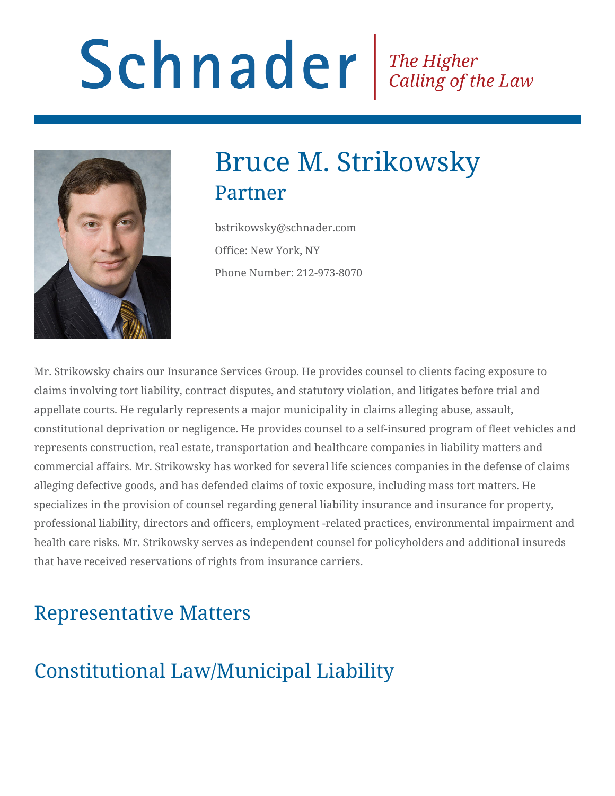# Schnader Fine Higher Calling of the Law



# Bruce M. Strikowsky Partner

bstrikowsky@schnader.com Office: New York, NY Phone Number: 212-973-8070

Mr. Strikowsky chairs our Insurance Services Group. He provides counsel to clients facing exposure to claims involving tort liability, contract disputes, and statutory violation, and litigates before trial and appellate courts. He regularly represents a major municipality in claims alleging abuse, assault, constitutional deprivation or negligence. He provides counsel to a self-insured program of fleet vehicles and represents construction, real estate, transportation and healthcare companies in liability matters and commercial affairs. Mr. Strikowsky has worked for several life sciences companies in the defense of claims alleging defective goods, and has defended claims of toxic exposure, including mass tort matters. He specializes in the provision of counsel regarding general liability insurance and insurance for property, professional liability, directors and officers, employment -related practices, environmental impairment and health care risks. Mr. Strikowsky serves as independent counsel for policyholders and additional insureds that have received reservations of rights from insurance carriers.

# Representative Matters

# Constitutional Law/Municipal Liability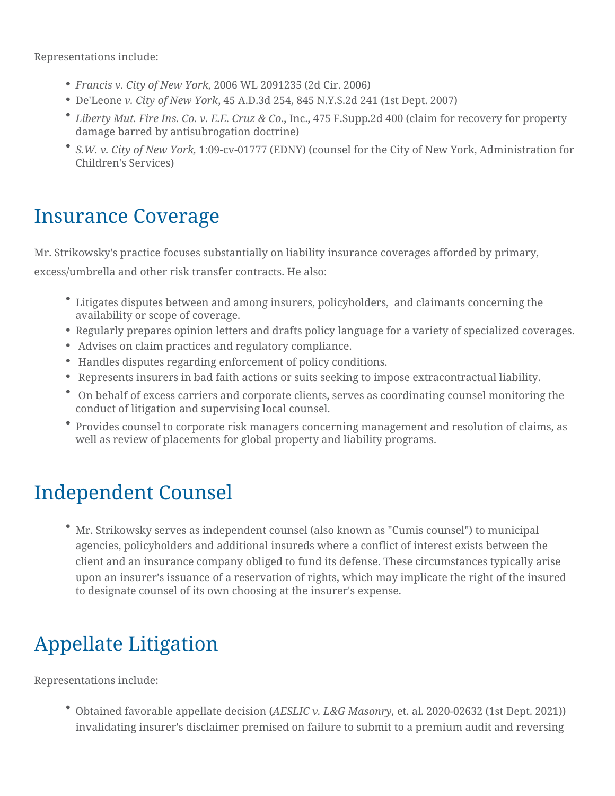Representations include:

- *Francis v. City of New York,* 2006 WL 2091235 (2d Cir. 2006)
- De'Leone *v. City of New York*, 45 A.D.3d 254, 845 N.Y.S.2d 241 (1st Dept. 2007)
- *Liberty Mut. Fire Ins. Co. v. E.E. Cruz & Co.*, Inc., 475 F.Supp.2d 400 (claim for recovery for property damage barred by antisubrogation doctrine)
- *S.W. v. City of New York,* 1:09-cv-01777 (EDNY) (counsel for the City of New York, Administration for Children's Services)

## Insurance Coverage

Mr. Strikowsky's practice focuses substantially on liability insurance coverages afforded by primary, excess/umbrella and other risk transfer contracts. He also:

- Litigates disputes between and among insurers, policyholders, and claimants concerning the availability or scope of coverage.
- Regularly prepares opinion letters and drafts policy language for a variety of specialized coverages.
- Advises on claim practices and regulatory compliance.
- Handles disputes regarding enforcement of policy conditions.
- Represents insurers in bad faith actions or suits seeking to impose extracontractual liability.
- On behalf of excess carriers and corporate clients, serves as coordinating counsel monitoring the conduct of litigation and supervising local counsel.
- Provides counsel to corporate risk managers concerning management and resolution of claims, as well as review of placements for global property and liability programs.

## Independent Counsel

Mr. Strikowsky serves as independent counsel (also known as "Cumis counsel") to municipal agencies, policyholders and additional insureds where a conflict of interest exists between the client and an insurance company obliged to fund its defense. These circumstances typically arise upon an insurer's issuance of a reservation of rights, which may implicate the right of the insured to designate counsel of its own choosing at the insurer's expense.

# Appellate Litigation

Representations include:

Obtained favorable appellate decision (*AESLIC v. L&G Masonry,* et. al. 2020-02632 (1st Dept. 2021)) invalidating insurer's disclaimer premised on failure to submit to a premium audit and reversing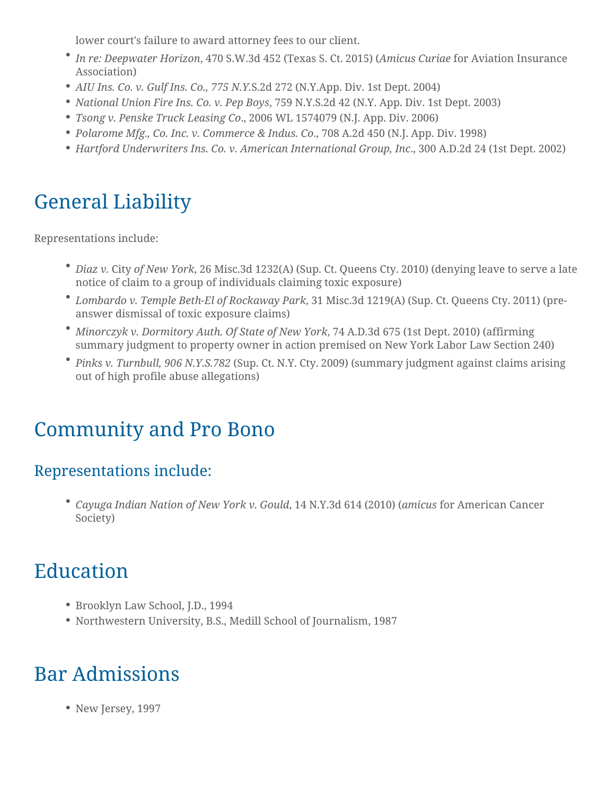lower court's failure to award attorney fees to our client.

- *In re: Deepwater Horizon*, 470 S.W.3d 452 (Texas S. Ct. 2015) (*Amicus Curiae* for Aviation Insurance Association)
- *AIU Ins. Co. v. Gulf Ins. Co., 775 N.Y.*S.2d 272 (N.Y.App. Div. 1st Dept. 2004)
- *National Union Fire Ins. Co. v. Pep Boys*, 759 N.Y.S.2d 42 (N.Y. App. Div. 1st Dept. 2003)
- *Tsong v. Penske Truck Leasing Co*., 2006 WL 1574079 (N.J. App. Div. 2006)
- *Polarome Mfg., Co. Inc. v. Commerce & Indus. Co*., 708 A.2d 450 (N.J. App. Div. 1998)
- *Hartford Underwriters Ins. Co. v. American International Group, Inc*., 300 A.D.2d 24 (1st Dept. 2002)

## General Liability

Representations include:

- *Diaz v.* City *of New York*, 26 Misc.3d 1232(A) (Sup. Ct. Queens Cty. 2010) (denying leave to serve a late notice of claim to a group of individuals claiming toxic exposure)
- *Lombardo v. Temple Beth-El of Rockaway Park*, 31 Misc.3d 1219(A) (Sup. Ct. Queens Cty. 2011) (preanswer dismissal of toxic exposure claims)
- *Minorczyk v. Dormitory Auth. Of State of New York*, 74 A.D.3d 675 (1st Dept. 2010) (affirming summary judgment to property owner in action premised on New York Labor Law Section 240)
- *Pinks v. Turnbull, 906 N.Y.S.782* (Sup. Ct. N.Y. Cty. 2009) (summary judgment against claims arising out of high profile abuse allegations)

## Community and Pro Bono

#### Representations include:

*Cayuga Indian Nation of New York v. Gould*, 14 N.Y.3d 614 (2010) (*amicus* for American Cancer Society)

## Education

- Brooklyn Law School, J.D., 1994
- Northwestern University, B.S., Medill School of Journalism, 1987

## Bar Admissions

• New Jersey, 1997